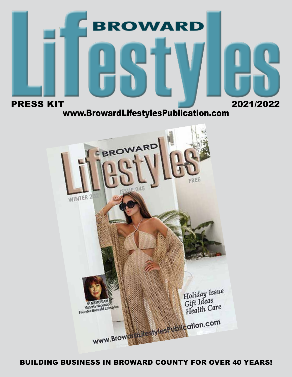

BUILDING BUSINESS IN BROWARD COUNTY FOR OVER 40 YEARS!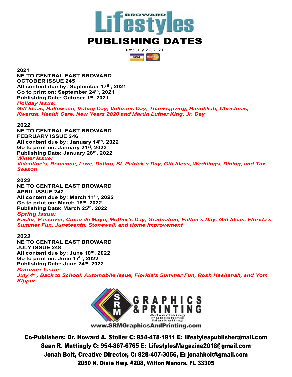

Rev. July 22, 2021  $VSA$ 

**2021**

**NE TO CENTRAL EAST BROWARD OCTOBER ISSUE 245 All content due by: September 17th, 2021 Go to print on: September 24th, 2021 Publishing Date: October 1st, 2021** *Holiday Issue: Gift Ideas, Halloween, Voting Day, Veterans Day, Thanksgiving, Hanukkah, Christmas, Kwanza, Health Care, New Years 2020 and Martin Luther King, Jr. Day*

#### **2022**

**NE TO CENTRAL EAST BROWARD FEBRUARY ISSUE 246 All content due by: January 14th, 2022 Go to print on: January 21st, 2022 Publishing Date: January 28th, 2022** *Winter Issue:*

*Valentine's, Romance, Love, Dating, St. Patrick's Day, Gift Ideas, Weddings, Dining, and Tax* 

**2022**

*Season*

**NE TO CENTRAL EAST BROWARD APRIL ISSUE 247 All content due by: March 11th, 2022 Go to print on: March 18th, 2022 Publishing Date: March 25th, 2022**

*Spring Issue:*

*Easter, Passover, Cinco de Mayo, Mother's Day, Graduation, Father's Day, Gift Ideas, Florida's Summer Fun, Juneteenth, Stonewall, and Home Improvement*

#### **2022**

**NE TO CENTRAL EAST BROWARD JULY ISSUE 248 All content due by: June 10th, 2022 Go to print on: June 17th, 2022 Publishing Date: June 24th, 2022**

### *Summer Issue:*

*July 4th, Back to School, Automobile Issue, Florida's Summer Fun, Rosh Hashanah, and Yom Kippur*



www.SRMGraphicsAndPrinting.com

Co-Publishers: Dr. Howard A. Stoller C: 954-478-1911 E: lifestylespublisher@mail.com Sean R. Mattingly C: 954-867-6765 E: LifestylesMagazine2018@gmail.com Jonah Bolt, Creative Director, C: 828-407-3056, E: jonahbolt@gmail.com 2050 N. Dixie Hwy. #208, Wilton Manors, FL 33305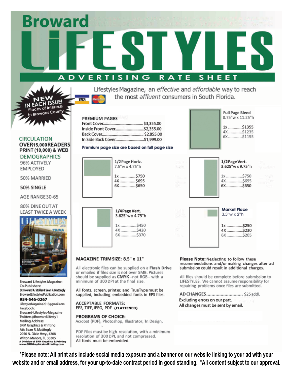**DVERTISING** RATE **SHEET** 

> Lifestyles Magazine, an effective and affordable way to reach the most affluent consumers in South Florida.

| <b>PREMIUM PAGES</b>         |  |
|------------------------------|--|
|                              |  |
|                              |  |
|                              |  |
| In Side Back Cover\$1,999.00 |  |

#### Premium page size are based on full page size

| 1/2 Page Horiz.<br>7.5"w x 4.75"h |
|-----------------------------------|
| 1x \$750<br>4X \$695<br>6X \$650  |

| 1/4 Page Vert.<br>3.625"w x 4.75"h                |
|---------------------------------------------------|
| <b>S450</b><br><b>\$420</b><br>4Х<br>\$370<br>6X. |

#### MAGAZINE TRIM SIZE: 8.5" x 11"

All electronic files can be supplied on a Flash Drive or emailed if files size is not over 5MB. Pictures should be supplied as CMYK--not RGB-- with a minimum of 300 DPI at the final size.

All fonts, screen, printer, and TrueType must be supplied, including embedded fonts in EPS files.

**ACCEPTABLE FORMATS:** EPS, TIFF, JPEG, PDF (FLATTENED)

#### **PROGRAMS OF CHOICE:**

Acrobat (PDF), Photoshop, Illustrator, In Design,

PDF Files must be high resolution, with a minimum resolution of 300 DPI, and not compressed. All fonts must be embedded.

Please Note: Neglecting to follow these recommendations and/or making changes after ad submission could result in additional charges.

All files should be complete before submission to LIFESTYLES. We cannot assume responsibility for repairing problems once files are submitted.

AD CHANGES ............................. \$25 addl. Excluding errors on our part. All changes must be sent by email.

**CIRCULATION** OVER15.000READERS PRINT (10,000) & WEB

**DEMOGRAPHICS** 96% ACTIVELY **EMPLOYED** 

50% MARRIED

50% SINGLE

AGE RANGE 30-65

80% DINE OUT AT LEAST TWICE A WEEK



Co-Publishers: Dr. Howard A. Stoller & Sean R. Mattingly BrowardLifestylesPublication.com 954-546-0267 LifestylesMagazine2018@gmail.com Facebook: Broward-Lifestyles-Magazine Twitter: @BrowardLifesty1 **Mailing Address: SRM Graphics & Printing** Att: Sean R. Mattingly 2050 N. Dixie Hwy., #208 Wilton Manors, FL 33305 **A Division of SRM Graphics & Printing<br>www.SRMGraphicsAndPrinting.com** 

**Broward Lifestyles Magazine:** 

\*Please note: All print ads include social media exposure and a banner on our website linking to your ad with your website and or email address, for your up-to-date contract period in good standing. \*All content subject to our approval.



**Full Page Bleed** 8.75"w x 11.25"h

1x ............ \$1355 4X.............. \$1235 6X..............\$1155





laces of Interests In Broward County

SUE!

**Broward**